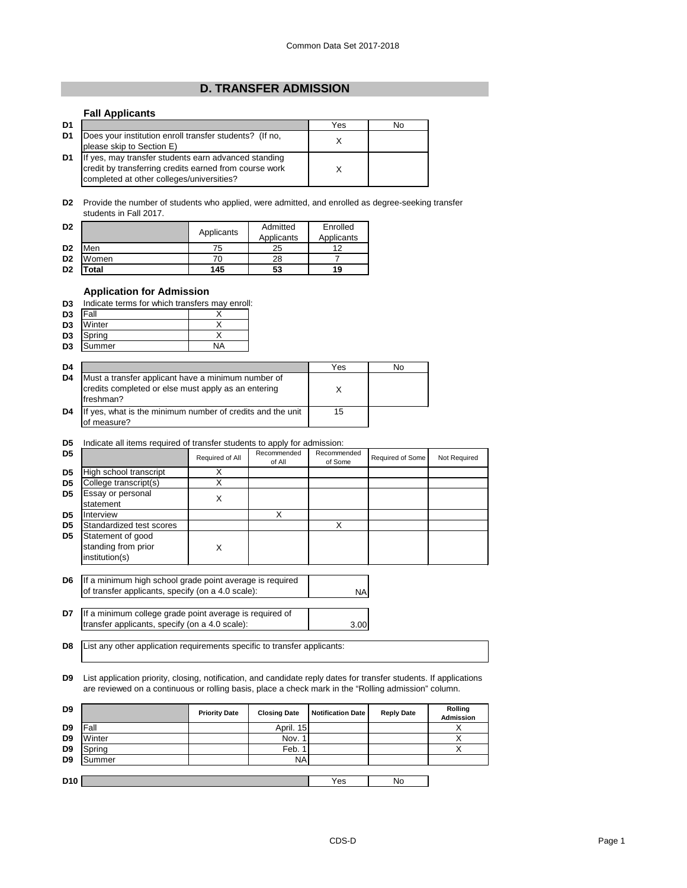## **D. TRANSFER ADMISSION**

## **Fall Applicants**

| D1 |                                                                                                                                                             | Yes | No |
|----|-------------------------------------------------------------------------------------------------------------------------------------------------------------|-----|----|
| D1 | Does your institution enroll transfer students? (If no,<br>please skip to Section E)                                                                        |     |    |
| D1 | If yes, may transfer students earn advanced standing<br>credit by transferring credits earned from course work<br>completed at other colleges/universities? |     |    |

**D2** Provide the number of students who applied, were admitted, and enrolled as degree-seeking transfer students in Fall 2017.

| D <sub>2</sub> |       | Applicants | Admitted<br>Applicants | Enrolled<br>Applicants |
|----------------|-------|------------|------------------------|------------------------|
| D <sub>2</sub> | Men   | 75         | 25                     | 19                     |
| D <sub>2</sub> | Women | 70         | 28                     |                        |
| D <sub>2</sub> | 'otal | 145        | 53                     | 19                     |

## **Application for Admission**

| D3 |  |  |  |  | Indicate terms for which transfers may enroll: |  |  |  |
|----|--|--|--|--|------------------------------------------------|--|--|--|
|----|--|--|--|--|------------------------------------------------|--|--|--|

| D <sub>3</sub>  | <b>Fall</b> |  |
|-----------------|-------------|--|
| $\overline{D3}$ | Winter      |  |
| D <sub>3</sub>  | Spring      |  |
| D <sub>3</sub>  | Summer      |  |

| D4 |                                                                                                                         | Yes | N٥ |
|----|-------------------------------------------------------------------------------------------------------------------------|-----|----|
| D4 | Must a transfer applicant have a minimum number of<br>credits completed or else must apply as an entering<br>Ifreshman? |     |    |
| D4 | If yes, what is the minimum number of credits and the unit<br>of measure?                                               | 15  |    |

## **D5** Indicate all items required of transfer students to apply for admission:

| D <sub>5</sub> |                                                            | Required of All | Recommended<br>of All | Recommended<br>of Some | Required of Some | Not Required |
|----------------|------------------------------------------------------------|-----------------|-----------------------|------------------------|------------------|--------------|
| D <sub>5</sub> | High school transcript                                     |                 |                       |                        |                  |              |
| D <sub>5</sub> | College transcript(s)                                      |                 |                       |                        |                  |              |
| D <sub>5</sub> | Essay or personal<br>statement                             | Х               |                       |                        |                  |              |
| D <sub>5</sub> | Interview                                                  |                 |                       |                        |                  |              |
| D <sub>5</sub> | Standardized test scores                                   |                 |                       | Х                      |                  |              |
| D <sub>5</sub> | Statement of good<br>standing from prior<br>institution(s) |                 |                       |                        |                  |              |

- **D6** NA If a minimum high school grade point average is required of transfer applicants, specify (on a 4.0 scale):
- **D7** 3.00 If a minimum college grade point average is required of transfer applicants, specify (on a 4.0 scale):

**D8** List any other application requirements specific to transfer applicants:

**D9** List application priority, closing, notification, and candidate reply dates for transfer students. If applications are reviewed on a continuous or rolling basis, place a check mark in the "Rolling admission" column.

| D <sub>9</sub>  |        | <b>Priority Date</b> | <b>Closing Date</b> | <b>Notification Date</b> | <b>Reply Date</b> | Rolling<br>Admission |
|-----------------|--------|----------------------|---------------------|--------------------------|-------------------|----------------------|
| D <sub>9</sub>  | Fall   |                      | April. 15           |                          |                   |                      |
| D <sub>9</sub>  | Winter |                      | Nov. 1              |                          |                   |                      |
| D <sub>9</sub>  | Spring |                      | Feb.                |                          |                   |                      |
| D <sub>9</sub>  | Summer |                      | <b>NA</b>           |                          |                   |                      |
|                 |        |                      |                     |                          |                   |                      |
| D <sub>10</sub> |        |                      |                     | Yes                      | No                |                      |